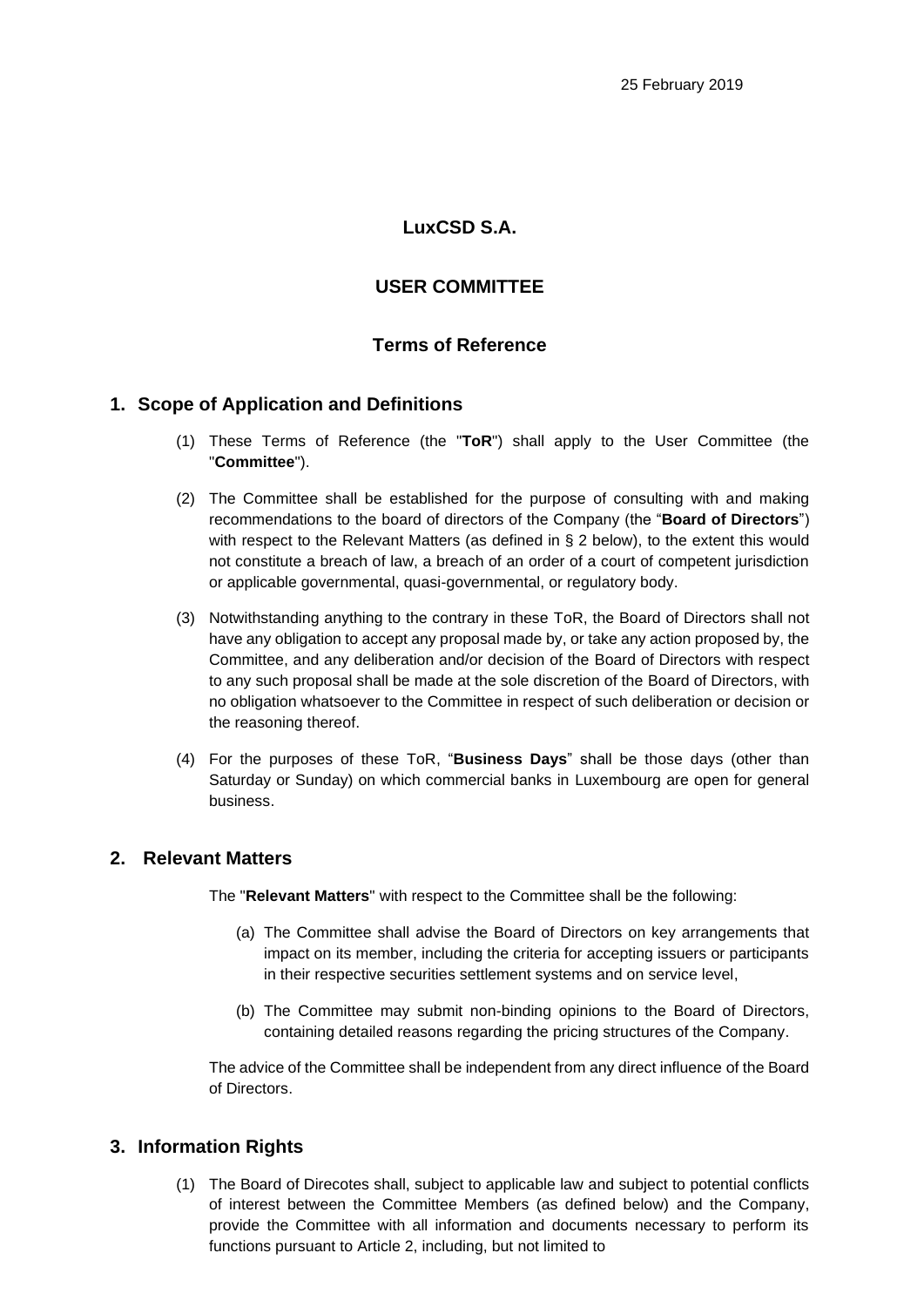# **LuxCSD S.A.**

# **USER COMMITTEE**

## **Terms of Reference**

### **1. Scope of Application and Definitions**

- (1) These Terms of Reference (the "**ToR**") shall apply to the User Committee (the "**Committee**").
- (2) The Committee shall be established for the purpose of consulting with and making recommendations to the board of directors of the Company (the "**Board of Directors**") with respect to the Relevant Matters (as defined in § 2 below), to the extent this would not constitute a breach of law, a breach of an order of a court of competent jurisdiction or applicable governmental, quasi-governmental, or regulatory body.
- (3) Notwithstanding anything to the contrary in these ToR, the Board of Directors shall not have any obligation to accept any proposal made by, or take any action proposed by, the Committee, and any deliberation and/or decision of the Board of Directors with respect to any such proposal shall be made at the sole discretion of the Board of Directors, with no obligation whatsoever to the Committee in respect of such deliberation or decision or the reasoning thereof.
- (4) For the purposes of these ToR, "**Business Days**" shall be those days (other than Saturday or Sunday) on which commercial banks in Luxembourg are open for general business.

### **2. Relevant Matters**

The "**Relevant Matters**" with respect to the Committee shall be the following:

- (a) The Committee shall advise the Board of Directors on key arrangements that impact on its member, including the criteria for accepting issuers or participants in their respective securities settlement systems and on service level,
- (b) The Committee may submit non-binding opinions to the Board of Directors, containing detailed reasons regarding the pricing structures of the Company.

The advice of the Committee shall be independent from any direct influence of the Board of Directors.

### **3. Information Rights**

(1) The Board of Direcotes shall, subject to applicable law and subject to potential conflicts of interest between the Committee Members (as defined below) and the Company, provide the Committee with all information and documents necessary to perform its functions pursuant to Article 2, including, but not limited to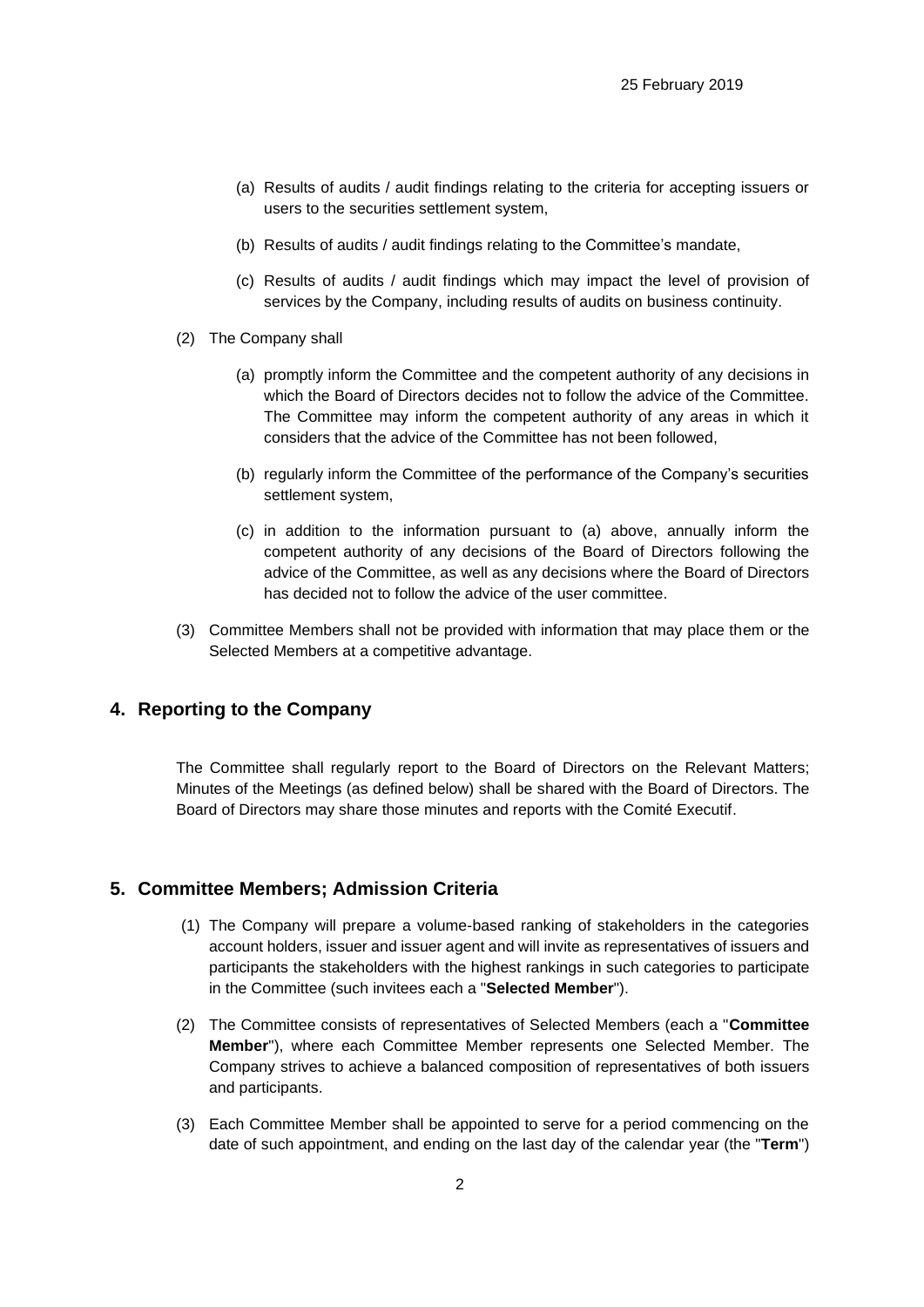- (a) Results of audits / audit findings relating to the criteria for accepting issuers or users to the securities settlement system,
- (b) Results of audits / audit findings relating to the Committee's mandate,
- (c) Results of audits / audit findings which may impact the level of provision of services by the Company, including results of audits on business continuity.
- (2) The Company shall
	- (a) promptly inform the Committee and the competent authority of any decisions in which the Board of Directors decides not to follow the advice of the Committee. The Committee may inform the competent authority of any areas in which it considers that the advice of the Committee has not been followed,
	- (b) regularly inform the Committee of the performance of the Company's securities settlement system,
	- (c) in addition to the information pursuant to (a) above, annually inform the competent authority of any decisions of the Board of Directors following the advice of the Committee, as well as any decisions where the Board of Directors has decided not to follow the advice of the user committee.
- (3) Committee Members shall not be provided with information that may place them or the Selected Members at a competitive advantage.

### **4. Reporting to the Company**

The Committee shall regularly report to the Board of Directors on the Relevant Matters; Minutes of the Meetings (as defined below) shall be shared with the Board of Directors. The Board of Directors may share those minutes and reports with the Comité Executif.

### **5. Committee Members; Admission Criteria**

- (1) The Company will prepare a volume-based ranking of stakeholders in the categories account holders, issuer and issuer agent and will invite as representatives of issuers and participants the stakeholders with the highest rankings in such categories to participate in the Committee (such invitees each a "**Selected Member**").
- (2) The Committee consists of representatives of Selected Members (each a "**Committee Member**"), where each Committee Member represents one Selected Member. The Company strives to achieve a balanced composition of representatives of both issuers and participants.
- (3) Each Committee Member shall be appointed to serve for a period commencing on the date of such appointment, and ending on the last day of the calendar year (the "**Term**")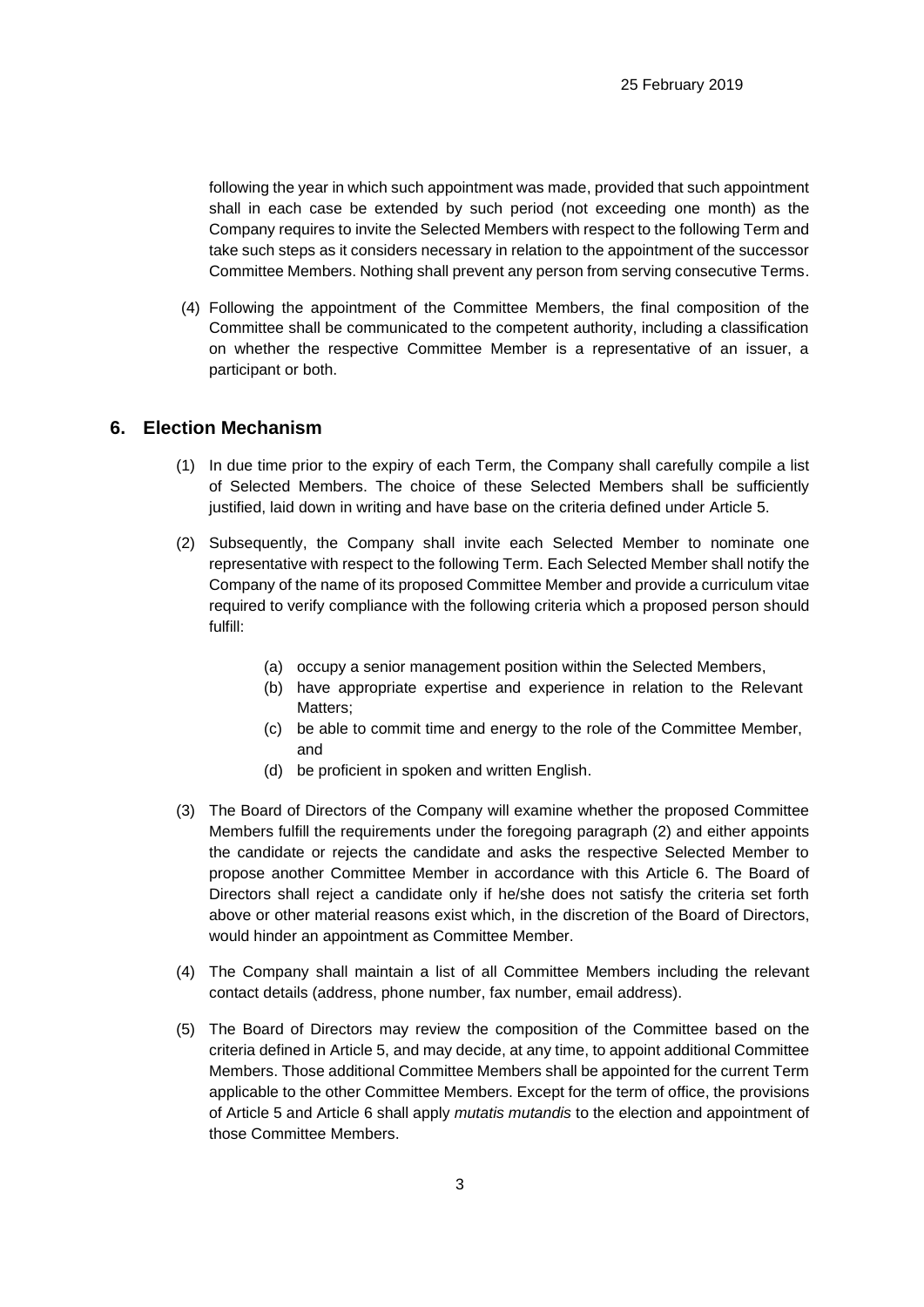following the year in which such appointment was made, provided that such appointment shall in each case be extended by such period (not exceeding one month) as the Company requires to invite the Selected Members with respect to the following Term and take such steps as it considers necessary in relation to the appointment of the successor Committee Members. Nothing shall prevent any person from serving consecutive Terms.

(4) Following the appointment of the Committee Members, the final composition of the Committee shall be communicated to the competent authority, including a classification on whether the respective Committee Member is a representative of an issuer, a participant or both.

#### **6. Election Mechanism**

- (1) In due time prior to the expiry of each Term, the Company shall carefully compile a list of Selected Members. The choice of these Selected Members shall be sufficiently justified, laid down in writing and have base on the criteria defined under Article 5.
- (2) Subsequently, the Company shall invite each Selected Member to nominate one representative with respect to the following Term. Each Selected Member shall notify the Company of the name of its proposed Committee Member and provide a curriculum vitae required to verify compliance with the following criteria which a proposed person should fulfill:
	- (a) occupy a senior management position within the Selected Members,
	- (b) have appropriate expertise and experience in relation to the Relevant Matters;
	- (c) be able to commit time and energy to the role of the Committee Member, and
	- (d) be proficient in spoken and written English.
- (3) The Board of Directors of the Company will examine whether the proposed Committee Members fulfill the requirements under the foregoing paragraph (2) and either appoints the candidate or rejects the candidate and asks the respective Selected Member to propose another Committee Member in accordance with this Article 6. The Board of Directors shall reject a candidate only if he/she does not satisfy the criteria set forth above or other material reasons exist which, in the discretion of the Board of Directors, would hinder an appointment as Committee Member.
- (4) The Company shall maintain a list of all Committee Members including the relevant contact details (address, phone number, fax number, email address).
- (5) The Board of Directors may review the composition of the Committee based on the criteria defined in Article 5, and may decide, at any time, to appoint additional Committee Members. Those additional Committee Members shall be appointed for the current Term applicable to the other Committee Members. Except for the term of office, the provisions of Article 5 and Article 6 shall apply *mutatis mutandis* to the election and appointment of those Committee Members.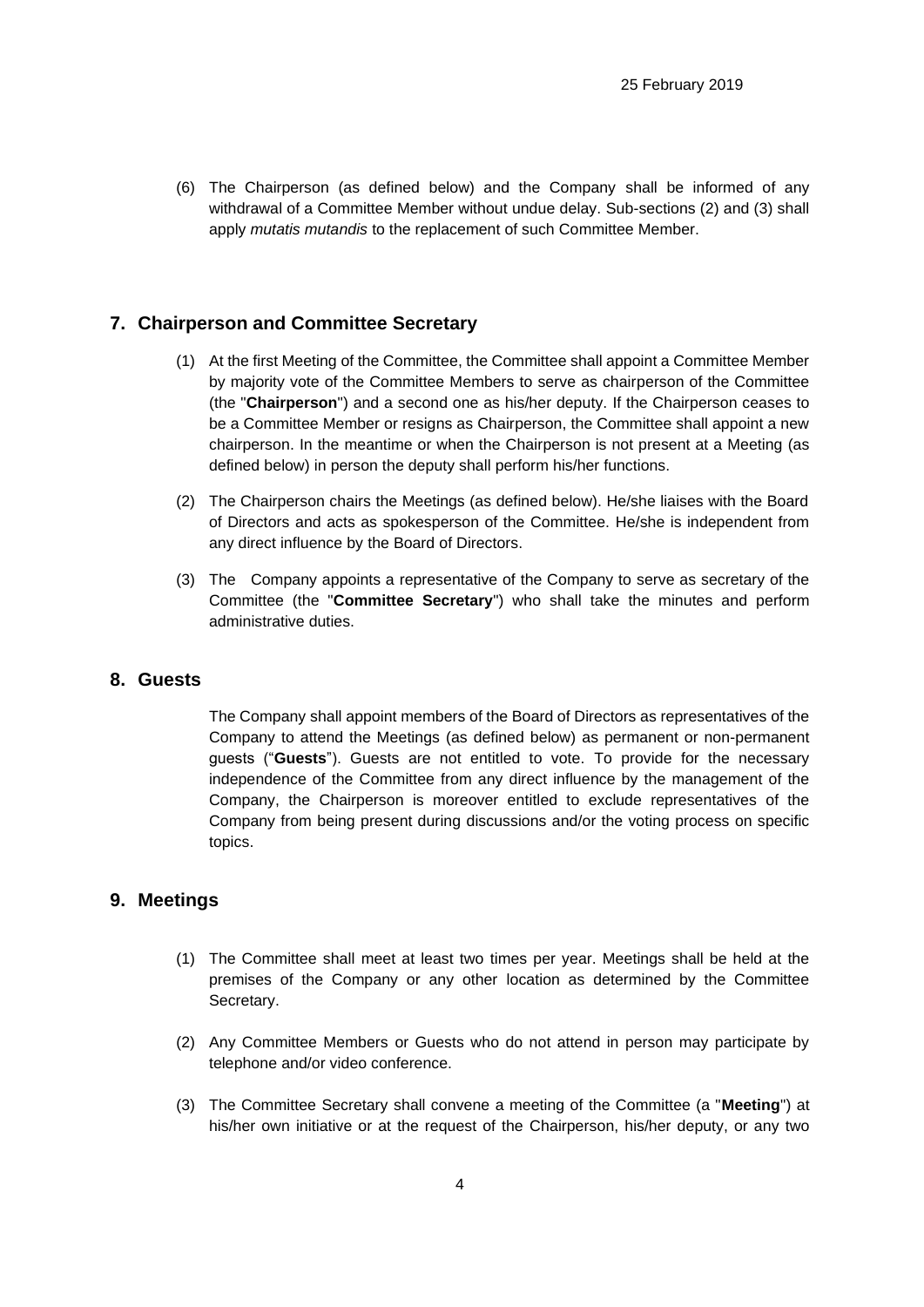(6) The Chairperson (as defined below) and the Company shall be informed of any withdrawal of a Committee Member without undue delay. Sub-sections (2) and (3) shall apply *mutatis mutandis* to the replacement of such Committee Member.

### **7. Chairperson and Committee Secretary**

- (1) At the first Meeting of the Committee, the Committee shall appoint a Committee Member by majority vote of the Committee Members to serve as chairperson of the Committee (the "**Chairperson**") and a second one as his/her deputy. If the Chairperson ceases to be a Committee Member or resigns as Chairperson, the Committee shall appoint a new chairperson. In the meantime or when the Chairperson is not present at a Meeting (as defined below) in person the deputy shall perform his/her functions.
- (2) The Chairperson chairs the Meetings (as defined below). He/she liaises with the Board of Directors and acts as spokesperson of the Committee. He/she is independent from any direct influence by the Board of Directors.
- (3) The Company appoints a representative of the Company to serve as secretary of the Committee (the "**Committee Secretary**") who shall take the minutes and perform administrative duties.

### **8. Guests**

The Company shall appoint members of the Board of Directors as representatives of the Company to attend the Meetings (as defined below) as permanent or non-permanent guests ("**Guests**"). Guests are not entitled to vote. To provide for the necessary independence of the Committee from any direct influence by the management of the Company, the Chairperson is moreover entitled to exclude representatives of the Company from being present during discussions and/or the voting process on specific topics.

### **9. Meetings**

- (1) The Committee shall meet at least two times per year. Meetings shall be held at the premises of the Company or any other location as determined by the Committee Secretary.
- (2) Any Committee Members or Guests who do not attend in person may participate by telephone and/or video conference.
- (3) The Committee Secretary shall convene a meeting of the Committee (a "**Meeting**") at his/her own initiative or at the request of the Chairperson, his/her deputy, or any two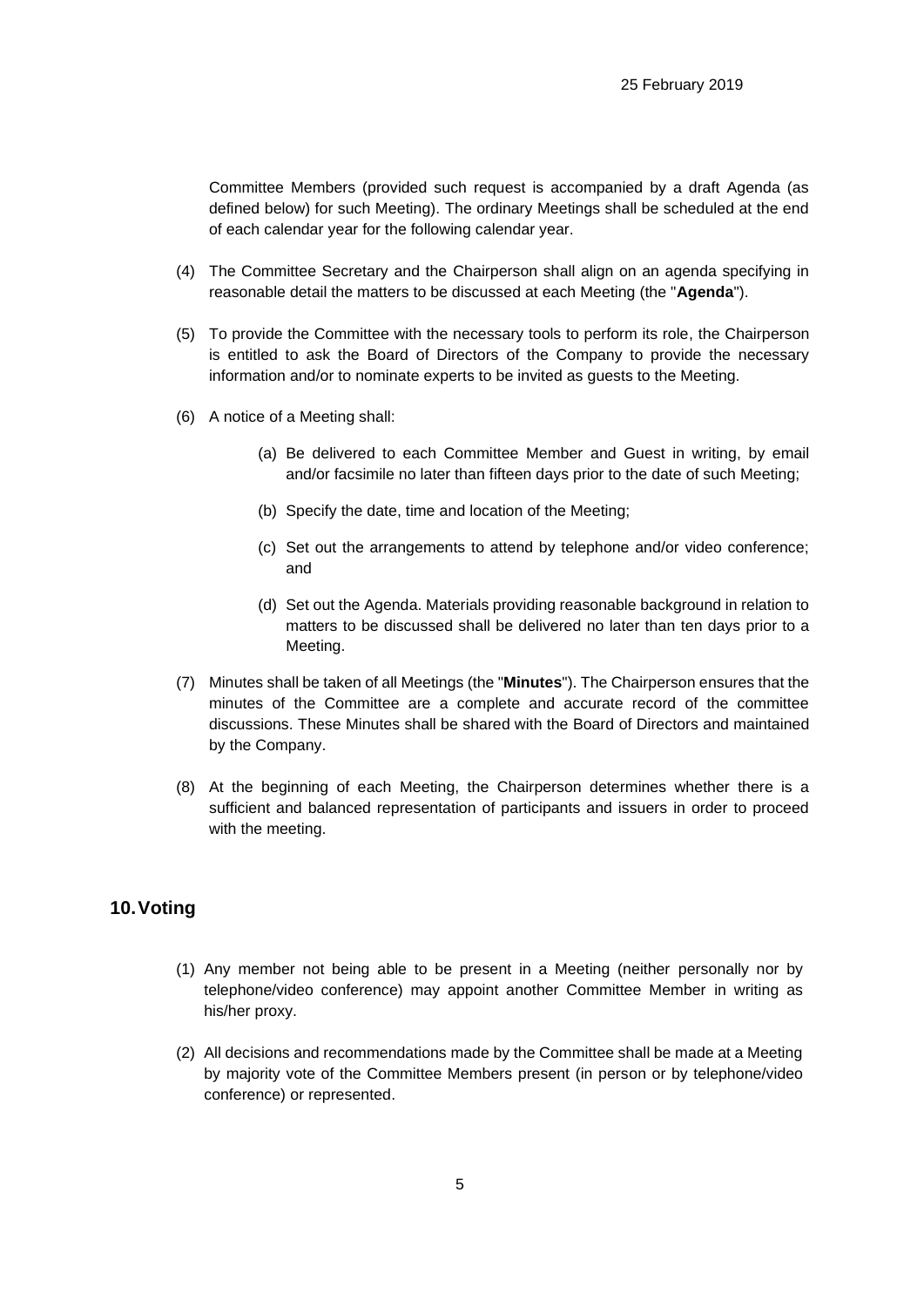Committee Members (provided such request is accompanied by a draft Agenda (as defined below) for such Meeting). The ordinary Meetings shall be scheduled at the end of each calendar year for the following calendar year.

- (4) The Committee Secretary and the Chairperson shall align on an agenda specifying in reasonable detail the matters to be discussed at each Meeting (the "**Agenda**").
- (5) To provide the Committee with the necessary tools to perform its role, the Chairperson is entitled to ask the Board of Directors of the Company to provide the necessary information and/or to nominate experts to be invited as guests to the Meeting.
- (6) A notice of a Meeting shall:
	- (a) Be delivered to each Committee Member and Guest in writing, by email and/or facsimile no later than fifteen days prior to the date of such Meeting;
	- (b) Specify the date, time and location of the Meeting;
	- (c) Set out the arrangements to attend by telephone and/or video conference; and
	- (d) Set out the Agenda. Materials providing reasonable background in relation to matters to be discussed shall be delivered no later than ten days prior to a Meeting.
- (7) Minutes shall be taken of all Meetings (the "**Minutes**"). The Chairperson ensures that the minutes of the Committee are a complete and accurate record of the committee discussions. These Minutes shall be shared with the Board of Directors and maintained by the Company.
- (8) At the beginning of each Meeting, the Chairperson determines whether there is a sufficient and balanced representation of participants and issuers in order to proceed with the meeting.

## **10.Voting**

- (1) Any member not being able to be present in a Meeting (neither personally nor by telephone/video conference) may appoint another Committee Member in writing as his/her proxy.
- (2) All decisions and recommendations made by the Committee shall be made at a Meeting by majority vote of the Committee Members present (in person or by telephone/video conference) or represented.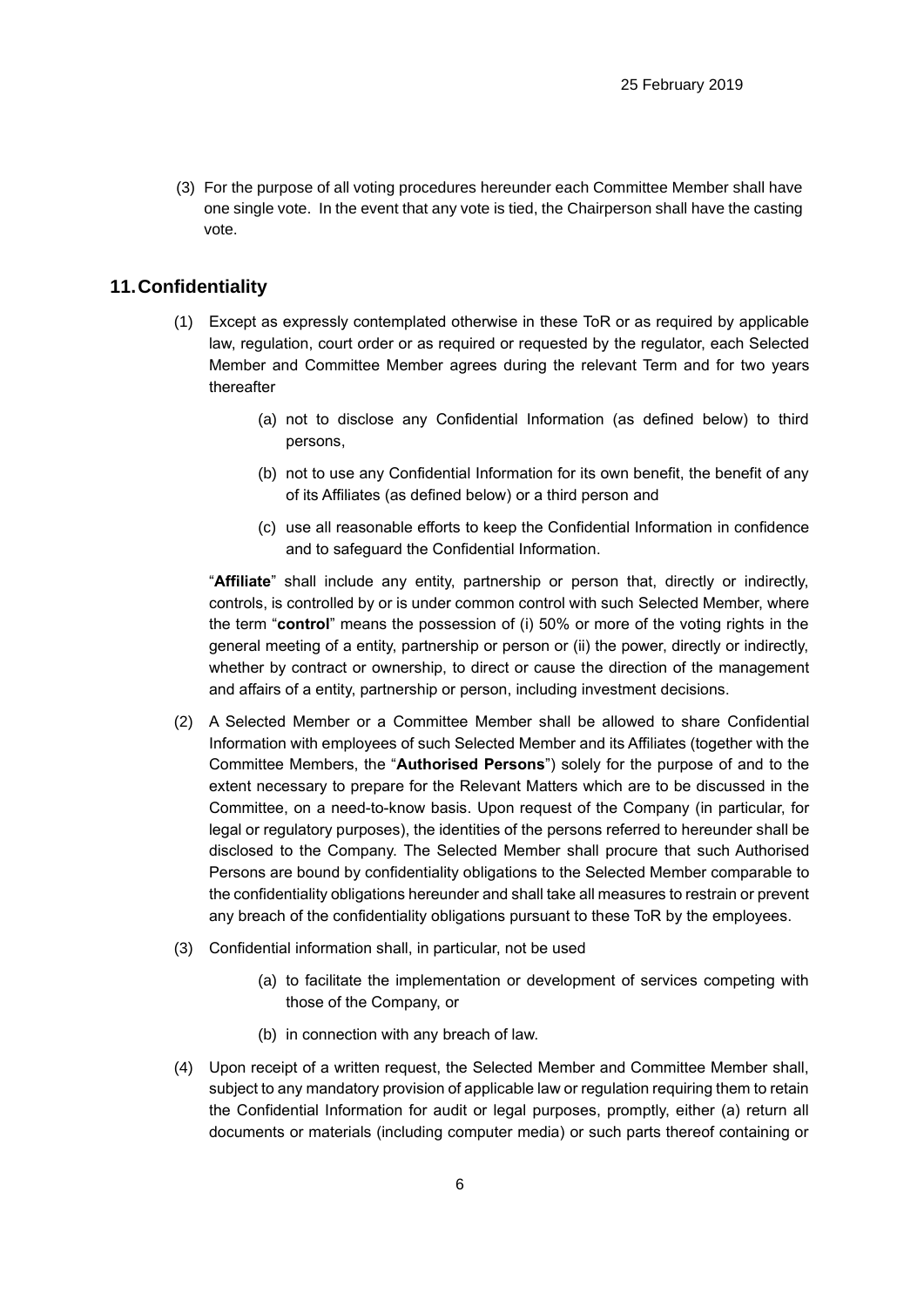(3) For the purpose of all voting procedures hereunder each Committee Member shall have one single vote. In the event that any vote is tied, the Chairperson shall have the casting vote.

### **11.Confidentiality**

- (1) Except as expressly contemplated otherwise in these ToR or as required by applicable law, regulation, court order or as required or requested by the regulator, each Selected Member and Committee Member agrees during the relevant Term and for two years thereafter
	- (a) not to disclose any Confidential Information (as defined below) to third persons,
	- (b) not to use any Confidential Information for its own benefit, the benefit of any of its Affiliates (as defined below) or a third person and
	- (c) use all reasonable efforts to keep the Confidential Information in confidence and to safeguard the Confidential Information.

"**Affiliate**" shall include any entity, partnership or person that, directly or indirectly, controls, is controlled by or is under common control with such Selected Member, where the term "**control**" means the possession of (i) 50% or more of the voting rights in the general meeting of a entity, partnership or person or (ii) the power, directly or indirectly, whether by contract or ownership, to direct or cause the direction of the management and affairs of a entity, partnership or person, including investment decisions.

- (2) A Selected Member or a Committee Member shall be allowed to share Confidential Information with employees of such Selected Member and its Affiliates (together with the Committee Members, the "**Authorised Persons**") solely for the purpose of and to the extent necessary to prepare for the Relevant Matters which are to be discussed in the Committee, on a need-to-know basis. Upon request of the Company (in particular, for legal or regulatory purposes), the identities of the persons referred to hereunder shall be disclosed to the Company. The Selected Member shall procure that such Authorised Persons are bound by confidentiality obligations to the Selected Member comparable to the confidentiality obligations hereunder and shall take all measures to restrain or prevent any breach of the confidentiality obligations pursuant to these ToR by the employees.
- (3) Confidential information shall, in particular, not be used
	- (a) to facilitate the implementation or development of services competing with those of the Company, or
	- (b) in connection with any breach of law.
- (4) Upon receipt of a written request, the Selected Member and Committee Member shall, subject to any mandatory provision of applicable law or regulation requiring them to retain the Confidential Information for audit or legal purposes, promptly, either (a) return all documents or materials (including computer media) or such parts thereof containing or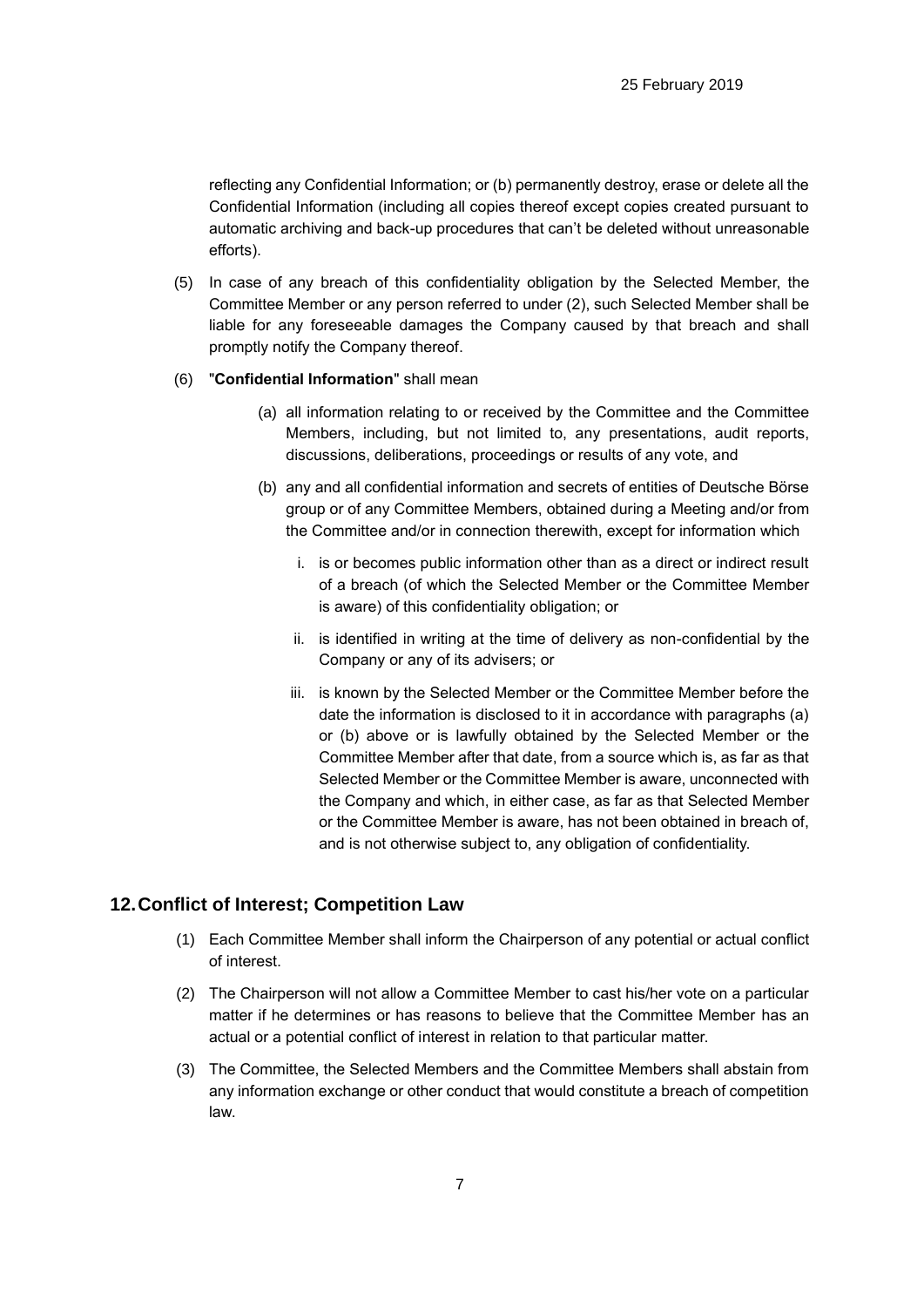reflecting any Confidential Information; or (b) permanently destroy, erase or delete all the Confidential Information (including all copies thereof except copies created pursuant to automatic archiving and back-up procedures that can't be deleted without unreasonable efforts).

(5) In case of any breach of this confidentiality obligation by the Selected Member, the Committee Member or any person referred to under (2), such Selected Member shall be liable for any foreseeable damages the Company caused by that breach and shall promptly notify the Company thereof.

#### (6) "**Confidential Information**" shall mean

- (a) all information relating to or received by the Committee and the Committee Members, including, but not limited to, any presentations, audit reports, discussions, deliberations, proceedings or results of any vote, and
- (b) any and all confidential information and secrets of entities of Deutsche Börse group or of any Committee Members, obtained during a Meeting and/or from the Committee and/or in connection therewith, except for information which
	- i. is or becomes public information other than as a direct or indirect result of a breach (of which the Selected Member or the Committee Member is aware) of this confidentiality obligation; or
	- ii. is identified in writing at the time of delivery as non-confidential by the Company or any of its advisers; or
	- iii. is known by the Selected Member or the Committee Member before the date the information is disclosed to it in accordance with paragraphs (a) or (b) above or is lawfully obtained by the Selected Member or the Committee Member after that date, from a source which is, as far as that Selected Member or the Committee Member is aware, unconnected with the Company and which, in either case, as far as that Selected Member or the Committee Member is aware, has not been obtained in breach of, and is not otherwise subject to, any obligation of confidentiality.

#### **12.Conflict of Interest; Competition Law**

- (1) Each Committee Member shall inform the Chairperson of any potential or actual conflict of interest.
- (2) The Chairperson will not allow a Committee Member to cast his/her vote on a particular matter if he determines or has reasons to believe that the Committee Member has an actual or a potential conflict of interest in relation to that particular matter.
- (3) The Committee, the Selected Members and the Committee Members shall abstain from any information exchange or other conduct that would constitute a breach of competition law.